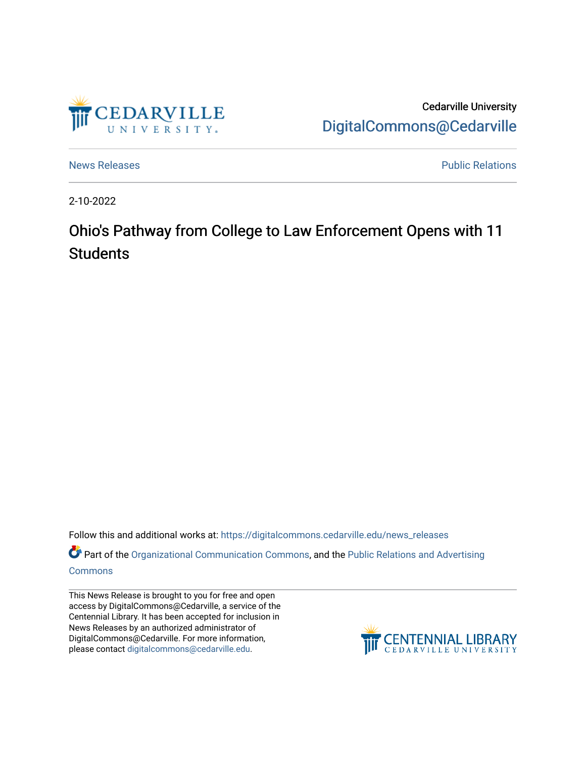

Cedarville University [DigitalCommons@Cedarville](https://digitalcommons.cedarville.edu/) 

[News Releases](https://digitalcommons.cedarville.edu/news_releases) **Public Relations** 

2-10-2022

## Ohio's Pathway from College to Law Enforcement Opens with 11 **Students**

Follow this and additional works at: [https://digitalcommons.cedarville.edu/news\\_releases](https://digitalcommons.cedarville.edu/news_releases?utm_source=digitalcommons.cedarville.edu%2Fnews_releases%2F1495&utm_medium=PDF&utm_campaign=PDFCoverPages) 

Part of the [Organizational Communication Commons](http://network.bepress.com/hgg/discipline/335?utm_source=digitalcommons.cedarville.edu%2Fnews_releases%2F1495&utm_medium=PDF&utm_campaign=PDFCoverPages), and the [Public Relations and Advertising](http://network.bepress.com/hgg/discipline/336?utm_source=digitalcommons.cedarville.edu%2Fnews_releases%2F1495&utm_medium=PDF&utm_campaign=PDFCoverPages)  [Commons](http://network.bepress.com/hgg/discipline/336?utm_source=digitalcommons.cedarville.edu%2Fnews_releases%2F1495&utm_medium=PDF&utm_campaign=PDFCoverPages)

This News Release is brought to you for free and open access by DigitalCommons@Cedarville, a service of the Centennial Library. It has been accepted for inclusion in News Releases by an authorized administrator of DigitalCommons@Cedarville. For more information, please contact [digitalcommons@cedarville.edu](mailto:digitalcommons@cedarville.edu).

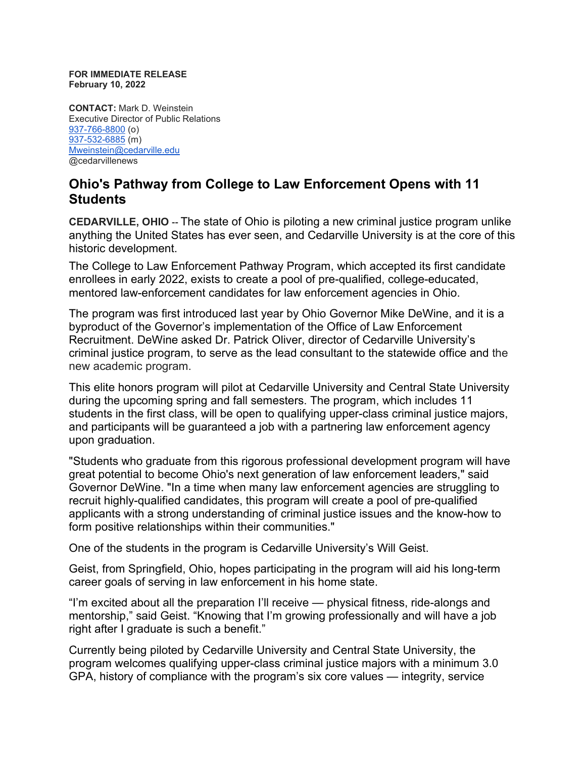## **FOR IMMEDIATE RELEASE February 10, 2022**

**CONTACT:** Mark D. Weinstein Executive Director of Public Relations [937-766-8800](tel:937-766-8800) (o) [937-532-6885](tel:937-532-6885) (m) [Mweinstein@cedarville.edu](mailto:Mweinstein@cedarville.edu) @cedarvillenews

## **Ohio's Pathway from College to Law Enforcement Opens with 11 Students**

**CEDARVILLE, OHIO --** The state of Ohio is piloting a new criminal justice program unlike anything the United States has ever seen, and Cedarville University is at the core of this historic development.

The College to Law Enforcement Pathway Program, which accepted its first candidate enrollees in early 2022, exists to create a pool of pre-qualified, college-educated, mentored law-enforcement candidates for law enforcement agencies in Ohio.

The program was first introduced last year by Ohio Governor Mike DeWine, and it is a byproduct of the Governor's implementation of the Office of Law Enforcement Recruitment. DeWine asked Dr. Patrick Oliver, director of Cedarville University's criminal justice program, to serve as the lead consultant to the statewide office and the new academic program.

This elite honors program will pilot at Cedarville University and Central State University during the upcoming spring and fall semesters. The program, which includes 11 students in the first class, will be open to qualifying upper-class criminal justice majors, and participants will be guaranteed a job with a partnering law enforcement agency upon graduation.

"Students who graduate from this rigorous professional development program will have great potential to become Ohio's next generation of law enforcement leaders," said Governor DeWine. "In a time when many law enforcement agencies are struggling to recruit highly-qualified candidates, this program will create a pool of pre-qualified applicants with a strong understanding of criminal justice issues and the know-how to form positive relationships within their communities."

One of the students in the program is Cedarville University's Will Geist.

Geist, from Springfield, Ohio, hopes participating in the program will aid his long-term career goals of serving in law enforcement in his home state.

"I'm excited about all the preparation I'll receive — physical fitness, ride-alongs and mentorship," said Geist. "Knowing that I'm growing professionally and will have a job right after I graduate is such a benefit."

Currently being piloted by Cedarville University and Central State University, the program welcomes qualifying upper-class criminal justice majors with a minimum 3.0 GPA, history of compliance with the program's six core values — integrity, service